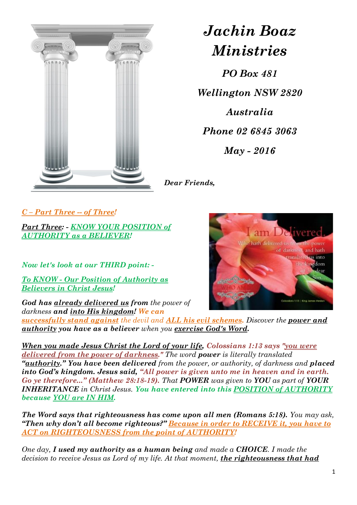

# *Jachin Boaz Ministries*

*PO Box 481 Wellington NSW 2820 Australia Phone 02 6845 3063 May - 2016*

*Dear Friends,*

*C – Part Three -- of Three!*

*Part Three: - KNOW YOUR POSITION of AUTHORITY as a BELIEVER!* 

*Now let's look at our THIRD point: -*

*To KNOW - Our Position of Authority as Believers in Christ Jesus!*

*God has already delivered us from the power of darkness and into His kingdom! We can* 



*When you made Jesus Christ the Lord of your life, Colossians 1:13 says "you were delivered from the power of darkness." The word power is literally translated "authority." You have been delivered from the power, or authority, of darkness and placed into God's kingdom. Jesus said, "All power is given unto me in heaven and in earth. Go ye therefore..." (Matthew 28:18-19). That POWER was given to YOU as part of YOUR INHERITANCE in Christ Jesus. You have entered into this POSITION of AUTHORITY because YOU are IN HIM.*

*The Word says that righteousness has come upon all men (Romans 5:18). You may ask, "Then why don't all become righteous?" Because in order to RECEIVE it, you have to ACT on RIGHTEOUSNESS from the point of AUTHORITY!*

*One day, I used my authority as a human being and made a CHOICE. I made the decision to receive Jesus as Lord of my life. At that moment, the righteousness that had* 

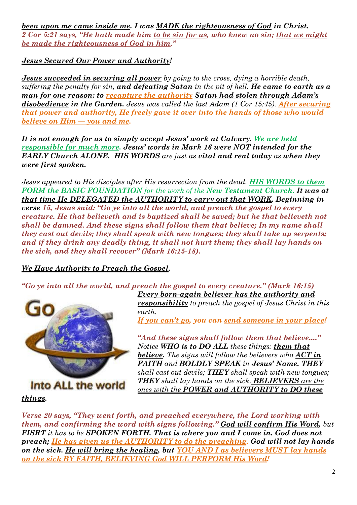*been upon me came inside me. I was MADE the righteousness of God in Christ. 2 Cor 5:21 says, "He hath made him to be sin for us, who knew no sin; that we might be made the righteousness of God in him."*

*Jesus Secured Our Power and Authority!*

*Jesus succeeded in securing all power by going to the cross, dying a horrible death, suffering the penalty for sin, and defeating Satan in the pit of hell. He came to earth as a man for one reason: to recapture the authority Satan had stolen through Adam's disobedience in the Garden. Jesus was called the last Adam (1 Cor 15:45). After securing that power and authority, He freely gave it over into the hands of those who would believe on Him — you and me.*

*It is not enough for us to simply accept Jesus' work at Calvary. We are held responsible for much more. Jesus' words in Mark 16 were NOT intended for the EARLY Church ALONE. HIS WORDS are just as vital and real today as when they were first spoken.*

*Jesus appeared to His disciples after His resurrection from the dead. HIS WORDS to them FORM the BASIC FOUNDATION for the work of the New Testament Church. It was at that time He DELEGATED the AUTHORITY to carry out that WORK. Beginning in verse 15, Jesus said: "Go ye into all the world, and preach the gospel to every creature. He that believeth and is baptized shall be saved; but he that believeth not shall be damned. And these signs shall follow them that believe; In my name shall they cast out devils; they shall speak with new tongues; they shall take up serpents; and if they drink any deadly thing, it shall not hurt them; they shall lay hands on the sick, and they shall recover" (Mark 16:15-18).*

#### *We Have Authority to Preach the Gospel.*

*"Go ye into all the world, and preach the gospel to every creature." (Mark 16:15)* 



*Every born-again believer has the authority and responsibility to preach the gospel of Jesus Christ in this earth.* 

*If you can't go, you can send someone in your place!*

*"And these signs shall follow them that believe...." Notice WHO is to DO ALL these things: them that believe. The signs will follow the believers who ACT in FAITH and BOLDLY SPEAK in Jesus' Name. THEY shall cast out devils; THEY shall speak with new tongues; THEY shall lay hands on the sick. BELIEVERS are the ones with the POWER and AUTHORITY to DO these* 

*things.*

*Verse 20 says, "They went forth, and preached everywhere, the Lord working with them, and confirming the word with signs following." God will confirm His Word, but FISRT it has to be SPOKEN FORTH. That is where you and I come in. God does not preach; He has given us the AUTHORITY to do the preaching. God will not lay hands on the sick. He will bring the healing, but YOU AND I as believers MUST lay hands on the sick BY FAITH, BELIEVING God WILL PERFORM His Word!*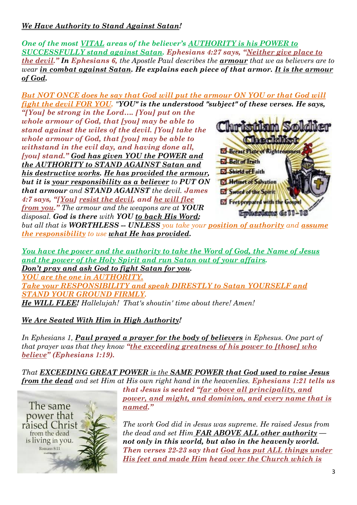## *We Have Authority to Stand Against Satan!*

*One of the most VITAL areas of the believer's AUTHORITY is his POWER to SUCCESSFULLY stand against Satan. Ephesians 4:27 says, "Neither give place to the devil." In Ephesians 6, the Apostle Paul describes the armour that we as believers are to wear in combat against Satan. He explains each piece of that armor. It is the armour of God.*

*But NOT ONCE does he say that God will put the armour ON YOU or that God will fight the devil FOR YOU. "YOU" is the understood "subject" of these verses. He says,*

*"[You] be strong in the Lord…. [You] put on the whole armour of God, that [you] may be able to stand against the wiles of the devil. [You] take the whole armour of God, that [you] may be able to withstand in the evil day, and having done all, [you] stand." God has given YOU the POWER and the AUTHORITY to STAND AGAINST Satan and his destructive works. He has provided the armour, but it is your responsibility as a believer to PUT ON that armour and STAND AGAINST the devil. James 4:7 says, "[You] resist the devil, and he will flee from you." The armour and the weapons are at YOUR disposal. God is there with YOU to back His Word;*



*but all that is WORTHLESS -- UNLESS you take your position of authority and assume the responsibility to use what He has provided.*

*You have the power and the authority to take the Word of God, the Name of Jesus and the power of the Holy Spirit and run Satan out of your affairs. Don't pray and ask God to fight Satan for you. YOU are the one in AUTHORITY. Take your RESPONSIBILITY and speak DIRESTLY to Satan YOURSELF and STAND YOUR GROUND FIRMLY.* 

*He WILL FLEE! Hallelujah! That's shoutin' time about there! Amen!*

### *We Are Seated With Him in High Authority!*

*In Ephesians 1, Paul prayed a prayer for the body of believers in Ephesus. One part of that prayer was that they know "the exceeding greatness of his power to [those] who believe" (Ephesians 1:19).*

*That EXCEEDING GREAT POWER is the SAME POWER that God used to raise Jesus from the dead and set Him at His own right hand in the heavenlies. Ephesians 1:21 tells us* 



*that Jesus is seated "far above all principality, and power, and might, and dominion, and every name that is named."*

*The work God did in Jesus was supreme. He raised Jesus from the dead and set Him FAR ABOVE ALL other authority not only in this world, but also in the heavenly world. Then verses 22-23 say that God has put ALL things under His feet and made Him head over the Church which is*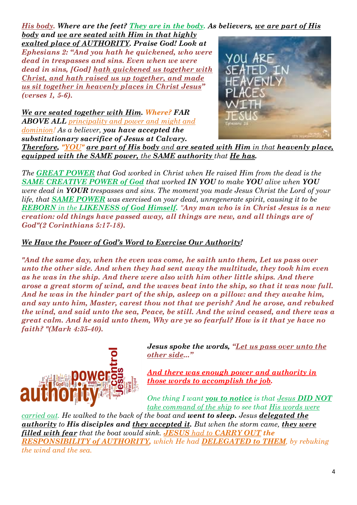*His body. Where are the feet? They are in the body. As believers, we are part of His* 

*body and we are seated with Him in that highly exalted place of AUTHORITY. Praise God! Look at Ephesians 2: "And you hath he quickened, who were dead in trespasses and sins. Even when we were dead in sins, [God] hath quickened us together with Christ, and hath raised us up together, and made us sit together in heavenly places in Christ Jesus" (verses 1, 5-6).*

*We are seated together with Him. Where? FAR ABOVE ALL principality and power and might and dominion! As a believer, you have accepted the substitutionary sacrifice of Jesus at Calvary.*



*Therefore, "YOU" are part of His body and are seated with Him in that heavenly place, equipped with the SAME power, the SAME authority that He has.*

*The GREAT POWER that God worked in Christ when He raised Him from the dead is the SAME CREATIVE POWER of God that worked IN YOU to make YOU alive when YOU were dead in YOUR trespasses and sins. The moment you made Jesus Christ the Lord of your life, that SAME POWER was exercised on your dead, unregenerate spirit, causing it to be REBORN in the LIKENESS of God Himself. "Any man who is in Christ Jesus is a new creation: old things have passed away, all things are new, and all things are of God"(2 Corinthians 5:17-18).*

#### *We Have the Power of God's Word to Exercise Our Authority!*

*"And the same day, when the even was come, he saith unto them, Let us pass over unto the other side. And when they had sent away the multitude, they took him even as he was in the ship. And there were also with him other little ships. And there arose a great storm of wind, and the waves beat into the ship, so that it was now full. And he was in the hinder part of the ship, asleep on a pillow: and they awake him, and say unto him, Master, carest thou not that we perish? And he arose, and rebuked the wind, and said unto the sea, Peace, be still. And the wind ceased, and there was a great calm. And he said unto them, Why are ye so fearful? How is it that ye have no faith? "(Mark 4:35-40).*



*Jesus spoke the words, "Let us pass over unto the other side..."*

*And there was enough power and authority in those words to accomplish the job.* 

*One thing I want you to notice is that Jesus DID NOT take command of the ship to see that His words were* 

*carried out. He walked to the back of the boat and went to sleep. Jesus delegated the authority to His disciples and they accepted it. But when the storm came, they were filled with fear that the boat would sink. JESUS had to CARRY OUT the RESPONSIBILITY of AUTHORITY, which He had DELEGATED to THEM, by rebuking the wind and the sea.*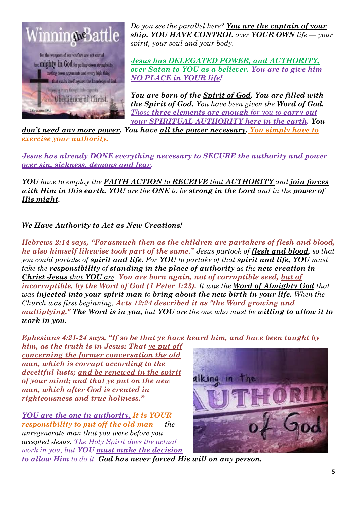

*Do you see the parallel here? You are the captain of your ship. YOU HAVE CONTROL over YOUR OWN life — your spirit, your soul and your body.* 

*Jesus has DELEGATED POWER, and AUTHORITY, over Satan to YOU as a believer. You are to give him NO PLACE in YOUR life!* 

*You are born of the Spirit of God. You are filled with the Spirit of God. You have been given the Word of God. Those three elements are enough for you to carry out your SPIRITUAL AUTHORITY here in the earth. You* 

*don't need any more power. You have all the power necessary. You simply have to exercise your authority.* 

*Jesus has already DONE everything necessary to SECURE the authority and power over sin, sickness, demons and fear.*

*YOU have to employ the FAITH ACTION to RECEIVE that AUTHORITY and join forces with Him in this earth. YOU are the ONE to be strong in the Lord and in the power of His might.*

### *We Have Authority to Act as New Creations!*

*Hebrews 2:14 says, "Forasmuch then as the children are partakers of flesh and blood, he also himself likewise took part of the same." Jesus partook of flesh and blood, so that you could partake of spirit and life. For YOU to partake of that spirit and life, YOU must take the responsibility of standing in the place of authority as the new creation in Christ Jesus that YOU are. You are born again, not of corruptible seed, but of incorruptible, by the Word of God (1 Peter 1:23). It was the Word of Almighty God that was injected into your spirit man to bring about the new birth in your life. When the Church was first beginning, Acts 12:24 described it as "the Word growing and multiplying." The Word is in you, but YOU are the one who must be willing to allow it to work in you.*

*Ephesians 4:21-24 says, "If so be that ye have heard him, and have been taught by* 

*him, as the truth is in Jesus: That ye put off concerning the former conversation the old man, which is corrupt according to the deceitful lusts; and be renewed in the spirit of your mind; and that ye put on the new man, which after God is created in righteousness and true holiness."*

*YOU are the one in authority. It is YOUR responsibility to put off the old man — the unregenerate man that you were before you accepted Jesus. The Holy Spirit does the actual work in you, but YOU must make the decision* 



*to allow Him to do it. God has never forced His will on any person.*